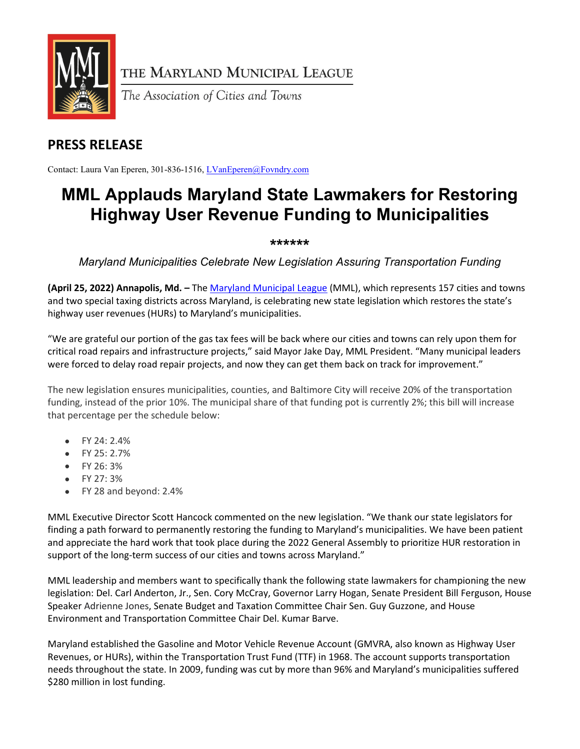

THE MARYLAND MUNICIPAL LEAGUE

The Association of Cities and Towns

## **PRESS RELEASE**

Contact: Laura Van Eperen, 301-836-1516, [LVanEperen@Fovndry.com](mailto:LVanEperen@Fovndry.com)

## **MML Applauds Maryland State Lawmakers for Restoring Highway User Revenue Funding to Municipalities**

## **\*\*\*\*\*\***

*Maryland Municipalities Celebrate New Legislation Assuring Transportation Funding*

**(April 25, 2022) Annapolis, Md. –** Th[e Maryland Municipal League](http://www.mdmunicipal.org/) (MML), which represents 157 cities and towns and two special taxing districts across Maryland, is celebrating new state legislation which restores the state's highway user revenues (HURs) to Maryland's municipalities.

"We are grateful our portion of the gas tax fees will be back where our cities and towns can rely upon them for critical road repairs and infrastructure projects," said Mayor Jake Day, MML President. "Many municipal leaders were forced to delay road repair projects, and now they can get them back on track for improvement."

The new legislation ensures municipalities, counties, and Baltimore City will receive 20% of the transportation funding, instead of the prior 10%. The municipal share of that funding pot is currently 2%; this bill will increase that percentage per the schedule below:

- FY 24: 2.4%
- FY 25: 2.7%
- FY 26: 3%
- FY 27: 3%
- FY 28 and beyond: 2.4%

MML Executive Director Scott Hancock commented on the new legislation. "We thank our state legislators for finding a path forward to permanently restoring the funding to Maryland's municipalities. We have been patient and appreciate the hard work that took place during the 2022 General Assembly to prioritize HUR restoration in support of the long-term success of our cities and towns across Maryland."

MML leadership and members want to specifically thank the following state lawmakers for championing the new legislation: Del. Carl Anderton, Jr., Sen. Cory McCray, Governor Larry Hogan, Senate President Bill Ferguson, House Speaker Adrienne Jones, Senate Budget and Taxation Committee Chair Sen. Guy Guzzone, and House Environment and Transportation Committee Chair Del. Kumar Barve.

Maryland established the Gasoline and Motor Vehicle Revenue Account (GMVRA, also known as Highway User Revenues, or HURs), within the Transportation Trust Fund (TTF) in 1968. The account supports transportation needs throughout the state. In 2009, funding was cut by more than 96% and Maryland's municipalities suffered \$280 million in lost funding.